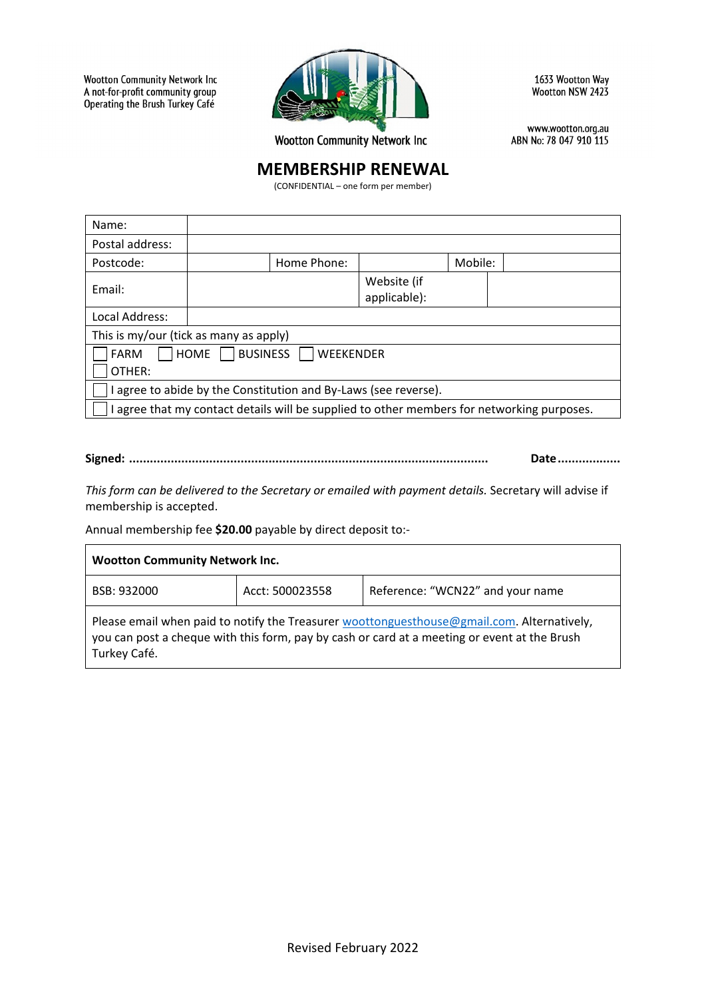**Wootton Community Network Inc** A not-for-profit community group Operating the Brush Turkey Café



1633 Wootton Way Wootton NSW 2423

**Wootton Community Network Inc** 

www.wootton.org.au ABN No: 78 047 910 115

# **MEMBERSHIP RENEWAL**

(CONFIDENTIAL – one form per member)

| Name:                                                                                      |             |                             |         |  |
|--------------------------------------------------------------------------------------------|-------------|-----------------------------|---------|--|
| Postal address:                                                                            |             |                             |         |  |
| Postcode:                                                                                  | Home Phone: |                             | Mobile: |  |
| Email:                                                                                     |             | Website (if<br>applicable): |         |  |
| Local Address:                                                                             |             |                             |         |  |
| This is my/our (tick as many as apply)                                                     |             |                             |         |  |
| BUSINESS<br>HOME<br><b>WEEKENDER</b><br><b>FARM</b><br>OTHER:                              |             |                             |         |  |
| I agree to abide by the Constitution and By-Laws (see reverse).                            |             |                             |         |  |
| I agree that my contact details will be supplied to other members for networking purposes. |             |                             |         |  |

# **Signed: ....................................................................................................... Date..................**

*This form can be delivered to the Secretary or emailed with payment details.* Secretary will advise if membership is accepted.

Annual membership fee **\$20.00** payable by direct deposit to:-

| <b>Wootton Community Network Inc.</b>                                                                                                                                                                      |                 |                                  |  |  |
|------------------------------------------------------------------------------------------------------------------------------------------------------------------------------------------------------------|-----------------|----------------------------------|--|--|
| BSB: 932000                                                                                                                                                                                                | Acct: 500023558 | Reference: "WCN22" and your name |  |  |
| Please email when paid to notify the Treasurer woottonguesthouse@gmail.com. Alternatively,<br>you can post a cheque with this form, pay by cash or card at a meeting or event at the Brush<br>Turkey Café. |                 |                                  |  |  |